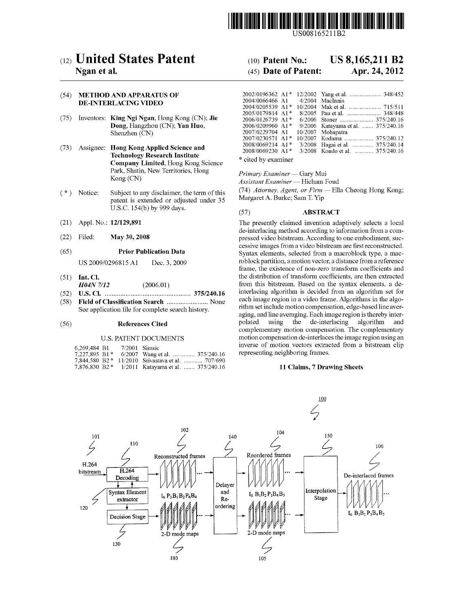

US008165211B2

# (12) United States Patent

# Ngan et al.

### (54) METHOD AND APPARATUS OF **DE-INTERLACING VIDEO**

- (75) Inventors: King Ngi Ngan, Hong Kong (CN); Jie Dong, Hangzhou (CN); Yan Huo, Shenzhen (CN)
- (73) Assignee: Hong Kong Applied Science and **Technology Research Institute** Company Limited, Hong Kong Science Park, Shatin, New Territories, Hong Kong (CN)
- $(* )$  Notice: Subject to any disclaimer, the term of this patent is extended or adjusted under 35 U.S.C. 154(b) by 999 days.
- Appl. No.: 12/129,891  $(21)$
- Filed:  $(22)$ May 30, 2008

#### **Prior Publication Data**  $(65)$

US 2009/0296815 A1 Dec. 3, 2009

- $(51)$  Int. Cl. **H04N 7/12**  $(2006.01)$
- 
- $(58)$ Field of Classification Search ......................... None See application file for complete search history.

#### $(56)$ **References Cited**

#### **U.S. PATENT DOCUMENTS**

| 6,269,484 B1 | 7/2001 Simsic |                                                   |  |
|--------------|---------------|---------------------------------------------------|--|
|              |               | 7,227,895 B1* 6/2007 Wang et al.  375/240.16      |  |
|              |               | 7,844,580 B2 * 11/2010 Srivastava et al.  707/690 |  |
|              |               | 7.876.830 B2 * 1/2011 Katavama et al.  375/240.16 |  |

#### US 8,165,211 B2  $(10)$  Patent No.:

#### (45) Date of Patent: Apr. 24, 2012

| $2002/0196362$ A <sub>1</sub> * |  |                                    |
|---------------------------------|--|------------------------------------|
| 2004/0066466 A1                 |  | 4/2004 MacInnis                    |
| 2004/0205539 A1*                |  |                                    |
| 2005/0179814 A1*                |  | 8/2005 Pau et al.  348/448         |
| 2006/0126739 A1*                |  |                                    |
| 2006/0209960 A1*                |  | 9/2006 Katayama et al.  375/240.16 |
| 2007/0229704 A1                 |  | 10/2007 Mohapatra                  |
| 2007/0230571 A1*                |  | 10/2007 Kodama  375/240.12         |
| 2008/0069214 A1*                |  | 3/2008 Hagai et al.  375/240.14    |
| 2008/0069230 A1*                |  | 3/2008 Kondo et al.  375/240.16    |
|                                 |  |                                    |

\* cited by examiner

Primary Examiner - Gary Mui

Assistant Examiner - Hicham Foud

(74) Attorney, Agent, or Firm - Ella Cheong Hong Kong; Margaret A. Burke; Sam T. Yip

#### $(57)$ **ABSTRACT**

The presently claimed invention adaptively selects a local de-interlacing method according to information from a compressed video bitstream. According to one embodiment, successive images from a video bitstream are first reconstructed. Syntax elements, selected from a macroblock type, a macroblock partition, a motion vector, a distance from a reference frame, the existence of non-zero transform coefficients and the distribution of transform coefficients, are then extracted from this bitstream. Based on the syntax elements, a deinterlacing algorithm is decided from an algorithm set for each image region in a video frame. Algorithms in the algorithm set include motion compensation, edge-based line averaging, and line averaging. Each image region is thereby interpolated using the de-interlacing algorithm and complementary motion compensation. The complementary motion compensation de-interlaces the image region using an inverse of motion vectors extracted from a bitstream clip representing neighboring frames.

#### 11 Claims, 7 Drawing Sheets

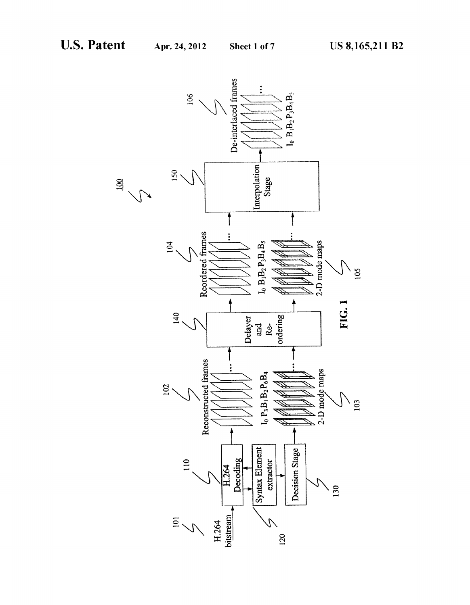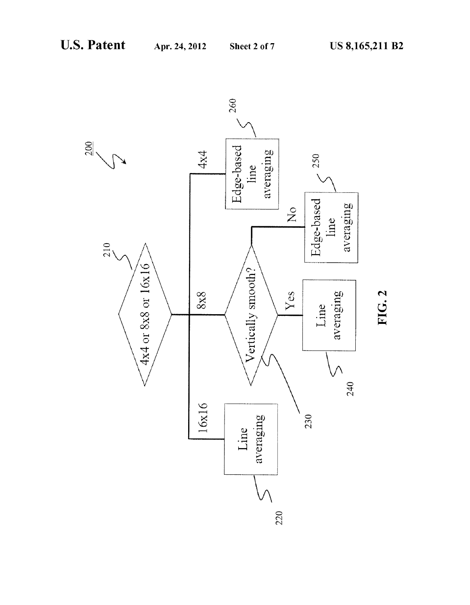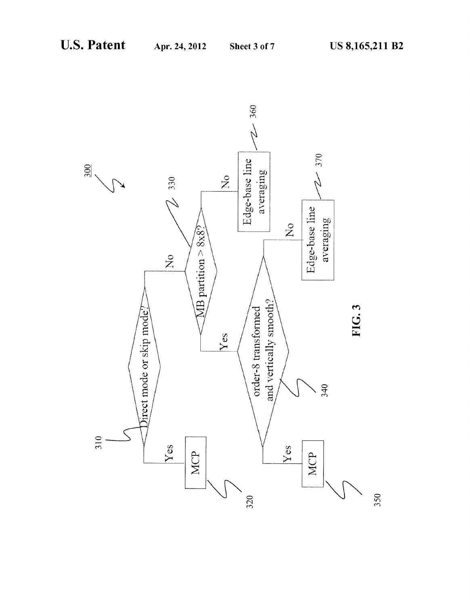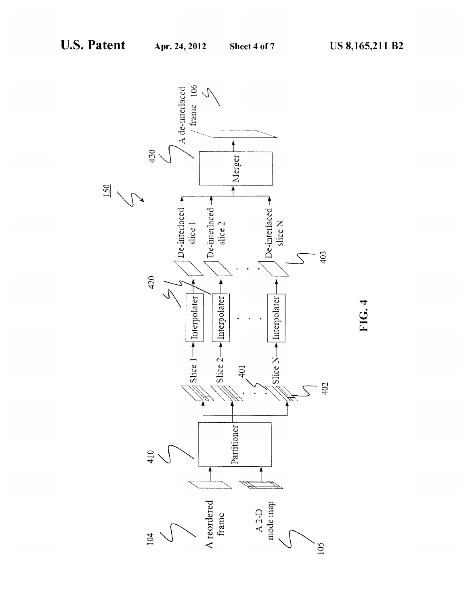FIG. 4

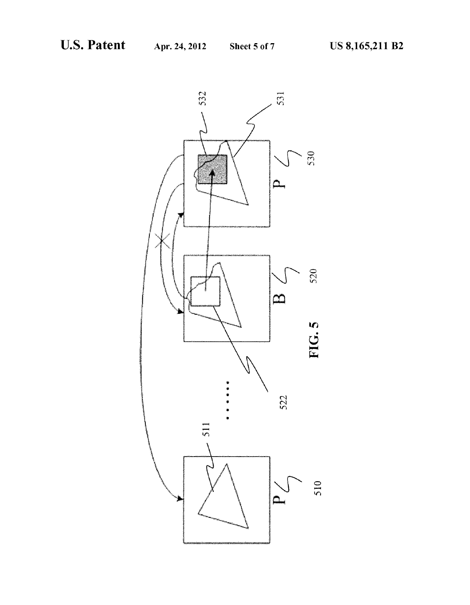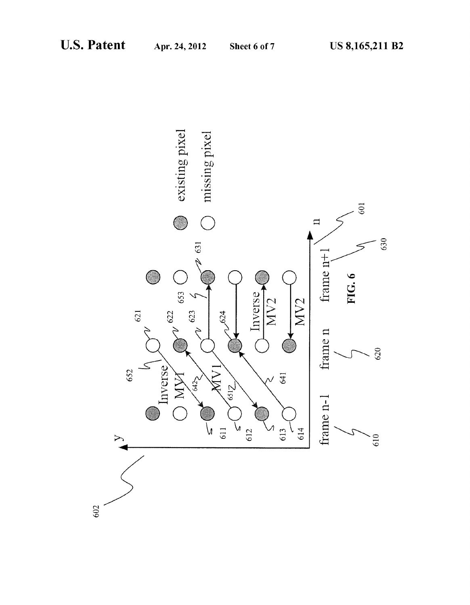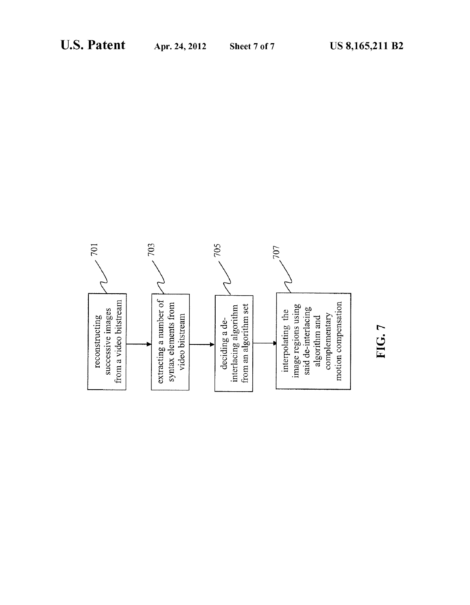

# FIG.7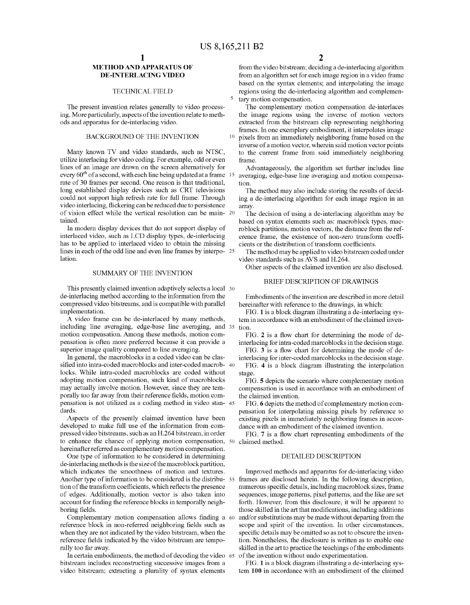10

## METHOD AND APPARATUS OF DE-INTERLACING VIDEO

#### TECHNICAL FIELD

The present invention relates generally to video process ing. More particularly, aspects of the invention relate to meth ods and apparatus for de-interlacing video.

#### BACKGROUND OF THE INVENTION

Many known TV and video standards, such as NTSC, utiliZe interlacing for video coding. For example, odd or even lines of an image are draWn on the screen alternatively for every  $60<sup>th</sup>$  of a second, with each line being updated at a frame 15 rate of 30 frames per second. One reason is that traditional, long established display devices such as CRT televisions could not support high refresh rate for full frame. Through video interlacing, flickering can be reduced due to persistence of vision effect while the vertical resolution can be main- 20 tained.

In modern display devices that do not support display of interlaced video, such as LCD display types, de-interlacing has to be applied to interlaced video to obtain the missing lines in each of the odd line and even line frames by interpo- 25 lation.

#### SUMMARY OF THE INVENTION

This presently claimed invention adaptively selects a local 30 de-interlacing method according to the information from the compressed video bitstreams, and is compatible With parallel implementation.

A video frame can be de-interlaced by many methods, including line averaging, edge-base line averaging, and 35 tion. motion compensation. Among these methods, motion com pensation is often more preferred because it can provide a superior image quality compared to line averaging.

In general, the macroblocks in a coded video can be clas sified into intra-coded macroblocks and inter-coded macrob- 40 locks. While intra-coded macroblocks are coded Without adopting motion compensation, such kind of macroblocks may actually involve motion. HoWever, since they are tem porally too far away from their reference fields, motion compensation is not utilized as a coding method in video stan- 45 dards.

Aspects of the presently claimed invention have been developed to make full use of the information from com pressed video bitstreams, such as an H.264 bitstream, in order to enhance the chance of applying motion compensation, 50 hereinafter referred as complementary motion compensation.

One type of information to be considered in determining de-interlacing methods is the size of the macroblock partition, Which indicates the smoothness of motion and textures. tion of the transform coefficients, which reflects the presence of edges. Additionally, motion vector is also taken into account for finding the reference blocks in temporally neighboring fields.

reference block in non-referred neighboring fields such as When they are not indicated by the video bitstream, When the reference fields indicated by the video bitstream are temporally too far aWay. Complementary motion compensation allows finding a 60

In certain embodiments, the method of decoding the video 65 bitstream includes reconstructing successive images from a video bitstream; extracting a plurality of syntax elements

from the video bitstream; deciding a de-interlacing algorithm from an algorithm set for each image region in a video frame based on the syntax elements; and interpolating the image regions using the de-interlacing algorithm and complemen tary motion compensation.

The complementary motion compensation de-interlaces the image regions using the inverse of motion vectors extracted from the bitstream clip representing neighboring frames. In one exemplary embodiment, it interpolates image pixels from an immediately neighboring frame based on the inverse of a motion vector, Wherein said motion vector points to the current frame from said immediately neighboring frame.

Advantageously, the algorithm set further includes line averaging, edge-base line averaging and motion compensa tion.

The method may also include storing the results of decid ing a de-interlacing algorithm for each image region in an array.

The decision of using a de-interlacing algorithm may be based on syntax elements such as: macroblock types, mac roblock partitions, motion vectors, the distance from the ref erence frame, the existence of non-zero transform coefficients or the distribution of transform coefficients.

The method may be applied to video bitstream coded under video standards such as AVS and H.264.

Other aspects of the claimed invention are also disclosed.

# BRIEF DESCRIPTION OF DRAWINGS

Embodiments of the invention are described in more detail hereinafter with reference to the drawings, in which:

FIG. 1 is a block diagram illustrating a de-interlacing sys tem in accordance With an embodiment of the claimed inven

FIG. 2 is a How chart for determining the mode of de interlacing for intra-coded marcoblocks in the decision stage.

FIG. 3 is a How chart for determining the mode of de interlacing for inter-coded marcoblocks in the decision stage.

FIG. 4 is a block diagram illustrating the interpolation stage.

FIG. 5 depicts the scenario Where complementary motion compensation is used in accordance With an embodiment of the claimed invention.

FIG. 6 depicts the method of complementary motion com pensation for interpolating missing pixels by reference to existing pixels in immediately neighboring frames in accor dance With an embodiment of the claimed invention.

FIG. 7 is a How chart representing embodiments of the claimed method.

#### DETAILED DESCRIPTION

Another type of information to be considered is the distribu-55 frames are disclosed herein. In the following description, Improved methods and apparatus for de-interlacing video numerous specific details, including macroblock sizes, frame sequences, image patterns, pixel patterns, and the like are set forth. HoWever, from this disclosure, it Will be apparent to those skilled in the art that modifications, including additions and/or substitutions may be made without departing from the scope and spirit of the invention. In other circumstances, specific details may be omitted so as not to obscure the invention. Nonetheless, the disclosure is Written as to enable one skilled in the art to practice the teachings of the embodiments of the invention Without undo experimentation.

> FIG. 1 is a block diagram illustrating a de-interlacing sys tem 100 in accordance With an embodiment of the claimed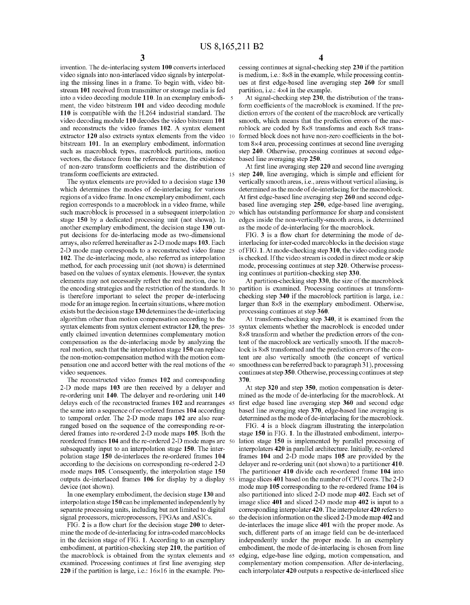invention. The de-interlacing system 100 converts interlaced video signals into non-interlaced video signals by interpolat ing the missing lines in a frame. To begin With, video bit stream 101 received from transmitter or storage media is fed into a video decoding module 110. In an exemplary embodi ment, the video bitstream 101 and video decoding module 110 is compatible With the H.264 industrial standard. The video decoding module 110 decodes the video bitstream 101 and reconstructs the video frames 102. A syntax element extractor 120 also extracts syntax elements from the video  $10$ bitstream 101. In an exemplary embodiment, information such as macroblock types, macroblock partitions, motion vectors, the distance from the reference frame, the existence of non-zero transform coefficients and the distribution of transform coefficients are extracted.

The syntax elements are provided to a decision stage 130 Which determines the modes of de-interlacing for various regions of a video frame. In one exemplary embodiment, each region corresponds to a macroblock in a video frame, While such macroblock is processed in a subsequent interpolation 20 stage 150 by a dedicated processing unit (not shown). In another exemplary embodiment, the decision stage 130 out put decisions for de-interlacing mode as two-dimensional arrays, also referred hereinafter as 2-D mode maps 103. Each 2-D mode map corresponds to a reconstructed video frame 25 102. The de-interlacing mode, also referred as interpolation method, for each processing unit (not shoWn) is determined based on the values of syntax elements. HoWever, the syntax elements may not necessarily reflect the real motion, due to the encoding strategies and the restriction of the standards. It 30 is therefore important to select the proper de-interlacing mode for an image region. In certain situations, Where motion exists but the decision stage 130 determines the de-interlacing algorithm other than motion compensation according to the syntax elements from syntax element extractor 120, the pres- 35 ently claimed invention determines complementary motion compensation as the de-interlacing mode by analyzing the real motion, such that the interpolation stage 150 can replace the non-motion-compensation method With the motion com pensation one and accord better With the real motions of the 40 video sequences.

The reconstructed video frames 102 and corresponding 2-D mode maps 103 are then received by a delayer and re-ordering unit 140. The delayer and re-ordering unit 140 delays each of the reconstructed frames 102 and rearranges 45 the same into a sequence of re-ordered frames 104 according to temporal order. The 2-D mode maps 102 are also rear ranged based on the sequence of the corresponding re-or dered frames into re-ordered 2-D mode maps 105. Both the reordered frames 104 and the re-ordered 2-D mode maps are 50 subsequently input to an interpolation stage 150. The inter polation stage 150 de-interlaces the re-ordered frames 104 according to the decisions on corresponding re-ordered 2-D mode maps 105. Consequently, the interpolation stage 150 outputs de-interlaced frames 106 for display by a display 55 device (not shoWn).

In one exemplary embodiment, the decision stage 130 and interpolation stage 150 canbe implemented independently by separate processing units, including but not limited to digital signal processors, microprocessors, FPGAs and ASICs.

60

FIG. 2 is a How chart for the decision stage 200 to deter mine the mode of de-interlacing for intra-coded marcoblocks in the decision stage of FIG. 1. According to an exemplary embodiment, at partition-checking step 210, the partition of the macroblock is obtained from the syntax elements and 65 examined. Processing continues at first line averaging step 220 if the partition is large, i.e.: 16x16 in the example. Pro

cessing continues at signal-checking step 230 if the partition is medium, i.e.: 8x8 in the example, While processing contin ues at first edge-based line averaging step 260 for small partition, i.e.:  $4\times4$  in the example.

At signal-checking step 230, the distribution of the trans form coefficients of the macroblock is examined. If the prediction errors of the content of the macroblock are vertically smooth, Which means that the prediction errors of the mac roblock are coded by 8x8 transforms and each 8x8 trans formed block does not have non-zero coefficients in the bottom 8x4 area, processing continues at second line averaging step 240. Otherwise, processing continues at second edgebased line averaging step 250.

At first line averaging step 220 and second line averaging step 240, line averaging, which is simple and efficient for vertically smooth areas, i.e., areas Without vertical aliasing, is determined as the mode of de-interlacing for the macroblock. At first edge-based line averaging step 260 and second edgebased line averaging step 250, edge-based line averaging, Which has outstanding performance for sharp and consistent edges inside the non-vertically-smooth areas, is determined as the mode of de-interlacing for the macroblock.

FIG. 3 is a How chart for determining the mode of de interlacing for inter-coded marcoblocks in the decision stage of FIG. 1. At mode-checking step 310, the video coding mode is checked. If the video stream is coded in direct mode or skip mode, processing continues at step 320. Otherwise process ing continues at partition-checking step 330.

At partition-checking step  $330$ , the size of the macroblock partition is examined. Processing continues at transform checking step 340 if the macroblock partition is large, i.e.: larger than 8x8 in the exemplary embodiment. Otherwise, processing continues at step 360.

At transform-checking step 340, it is examined from the syntax elements Whether the macroblock is encoded under 8x8 transform and Whether the prediction errors of the con tent of the macroblock are vertically smooth. If the macrob lock is 8x8 transformed and the prediction errors of the con tent are also vertically smooth (the concept of vertical smoothness can be referred back to paragraph 31), processing continues at step 350. Otherwise, processing continues at step 370.

At step 320 and step 350, motion compensation is deter mined as the mode of de-interlacing for the macroblock. At first edge based line averaging step 360 and second edge based line averaging step 370, edge-based line averaging is determined as the mode of de-interlacing for the macroblock.

FIG. 4 is a block diagram illustrating the interpolation stage 150 in FIG. 1. In the illustrated embodiment, interpo lation stage 150 is implemented by parallel processing of interpolaters 420 in parallel architecture. Initially, re-ordered frames 104 and 2-D mode maps 105 are provided by the delayer and re-ordering unit (not shown) to a partitioner 410. The partitioner 410 divide each re-ordered frame 104 into image slices 401 based on the number of CPU cores. The 2-D mode map 105 corresponding to the re-ordered frame 104 is also partitioned into sliced 2-D mode map 402. Each set of image slice 401 and sliced 2-D mode map 402 is input to a corresponding interpolater 420. The interpolater 420 refers to the decision information on the sliced 2-D mode map 402 and de-interlaces the image slice 401 With the proper mode. As such, different parts of an image field can be de-interlaced independently under the proper mode. In an exemplary embodiment, the mode of de-interlacing is chosen from line edging, edge-base line edging, motion compensation, and complementary motion compensation. After de-interlacing, each interpolater 420 outputs a respective de-interlaced slice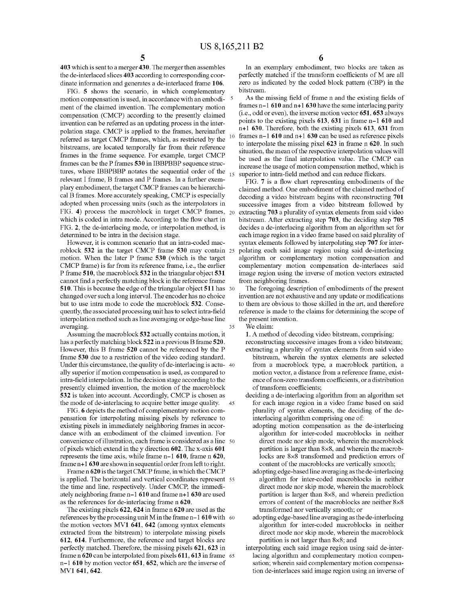403 Which is sent to a merger 430. The merger then assembles the de-interlaced slices 403 according to corresponding coor dinate information and generates a de-interlaced frame 106.

FIG. 5 shoWs the scenario, in Which complementary motion compensation is used, in accordance with an embodiment of the claimed invention. The complementary motion compensation (CMCP) according to the presently claimed invention can be referred as an updating process in the inter polation stage. CMCP is applied to the frames, hereinafter referred as target CMCP frames, Which, as restricted by the bitstreams, are located temporally far from their reference frames in the frame sequence. For example, target CMCP frames can be the P frames 530 in IBBPBBP sequence struc tures, Where IBBPBBP notates the sequential order of the relevant I frame, B frames and P frames. In a further exem plary embodiment, the target CMCP frames can be hierarchi cal B frames. More accurately speaking, CMCP is especially adopted When processing units (such as the interpolators in FIG. 4) process the macroblock in target CMCP frames, 20 Which is coded in intra mode. According to the How chart in FIG. 2, the de-interlacing mode, or interpolation method, is determined to be intra in the decision stage.

HoWever, it is common scenario that an intra-coded mac roblock 532 in the target CMCP frame 530 may contain 25 motion. When the later P frame 530 (Which is the target CMCP frame) is far from its reference frame, i.e., the earlier P frame 510, the macroblock 532 in the triangular object 531 cannot find a perfectly matching block in the reference frame 510. This is because the edge of the triangular object 511 has 30 changed over such a long interval. The encoder has no choice but to use intra mode to code the macroblock 532. Conse quently, the associated processing unit has to select intra-field interpolation method such as line averaging or edge-base line averaging. 35

Assuming the macroblock 532 actually contains motion, it has a perfectly matching block 522 in a previous B frame 520. HoWever, this B frame 520 cannot be referenced by the P frame 530 due to a restriction of the video coding standard. Under this circumstance, the quality of de-interlacing is actu- 40 ally superior if motion compensation is used, as compared to intra-field interpolation. In the decision stage according to the presently claimed invention, the motion of the macroblock 532 is taken into account. Accordingly, CMCP is chosen as the mode of de-interlacing to acquire better image quality. 45

FIG. 6 depicts the method of complementary motion com pensation for interpolating missing pixels by reference to existing pixels in immediately neighboring frames in accor dance With an embodiment of the claimed invention. For convenience of illustration, each frame is considered as a line 50 of pixels Which extend in the y direction 602. The x-axis 601 represents the time axis, While frame n-1 610, frame n 620, frame n+1 630 are shown in sequential order from left to right.

Frame n 620 is the target CMCP frame, in Which the CMCP is applied. The horiZontal and vertical coordinates represent 55 the time and line, respectively. Under CMCP, the immedi ately neighboring frame n-1 610 and frame n+1 630 are used as the references for de-interlacing frame n 620.

The existing pixels 622, 624 in frame n 620 are used as the references by the processing unit M in the frame  $n-1$  610 with 60 the motion vectors MV1 641, 642 (among syntax elements extracted from the bitstream) to interpolate missing pixels 612, 614. Furthermore, the reference and target blocks are perfectly matched. Therefore, the missing pixels 621, 623 in frame n 620 can be interpolated from pixels 611, 613 in frame 65 n-1 610 by motion vector 651, 652, Which are the inverse of MV1 641, 642.

In an exemplary embodiment, two blocks are taken as perfectly matched if the transform coefficients of M are all Zero as indicated by the coded block pattern (CBP) in the bitstream.

As the missing field of frame n and the existing fields of frames n-1 610 and n+1 630 have the same interlacing parity  $(i.e., odd or even)$ , the inverse motion vector  $651, 653$  always points to the existing pixels 613, 631 in frame n-1 610 and n+1 630. Therefore, both the existing pixels 613, 631 from frames n-1 610 and n+1 630 can be used as reference pixels to interpolate the missing pixel 623 in frame n 620. In such situation, the mean of the respective interpolation values Will be used as the final interpolation value. The CMCP can increase the usage of motion compensation method, Which is superior to intra-field method and can reduce flickers.

FIG. 7 is a How chart representing embodiments of the claimed method. One embodiment of the claimed method of decoding a video bitstream begins With reconstructing 701 successive images from a video bitstream followed by extracting 703 a plurality of syntax elements from said video bitstream. After extracting step 703, the deciding step 705 decides a de-interlacing algorithm from an algorithm set for each image region in a video frame based on said plurality of syntax elements followed by interpolating step 707 for interpolating each said image region using said de-interlacing algorithm or complementary motion compensation and complementary motion compensation de-interlaces said image region using the inverse of motion vectors extracted from neighboring frames.

The foregoing description of embodiments of the present invention are not exhaustive and any update or modifications to them are obvious to those skilled in the art, and therefore reference is made to the claims for determining the scope of the present invention.

We claim:

1. A method of decoding video bitstream, comprising: reconstructing successive images from a video bitstream; extracting a plurality of syntax elements from said video bitstream, wherein the syntax elements are selected from a macroblock type, a macroblock partition, a motion vector, a distance from a reference frame, exist ence of non-zero transform coefficients, or a distribution of transform coefficients;

deciding a de-interlacing algorithm from an algorithm set for each image region in a video frame based on said plurality of syntax elements, the deciding of the de interlacing algorithm comprising one of:

- adopting motion compensation as the de-interlacing algorithm for inter-coded macroblocks in neither direct mode nor skip mode, Wherein the macroblock partition is larger than 8x8, and Wherein the macrob locks are 8x8 transformed and prediction errors of content of the macroblocks are vertically smooth;
- adopting edge-based line averaging as the de-interlacing algorithm for inter-coded macroblocks in neither direct mode nor skip mode, Wherein the macroblock partition is larger than 8x8, and Wherein prediction errors of content of the macroblocks are neither 8x8 transformed nor vertically smooth; or
- adopting edge-based line averaging as the de-interlacing algorithm for inter-coded macroblocks in neither direct mode nor skip mode, Wherein the macroblock partition is not larger than 8x8; and

interpolating each said image region using said de-inter lacing algorithm and complementary motion compen sation; Wherein said complementary motion compensa tion de-interlaces said image region using an inverse of